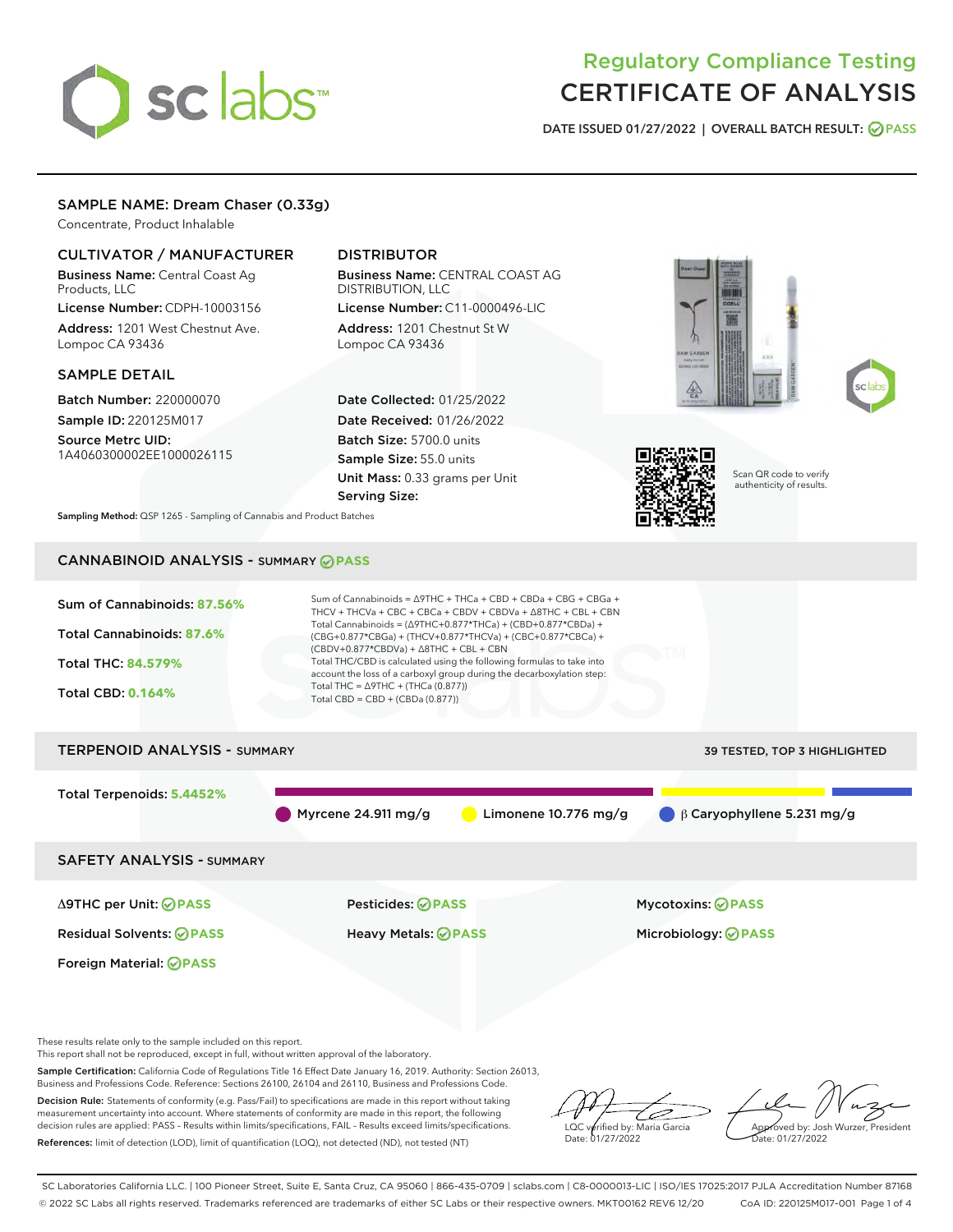# sclabs

# Regulatory Compliance Testing CERTIFICATE OF ANALYSIS

DATE ISSUED 01/27/2022 | OVERALL BATCH RESULT: @ PASS

# SAMPLE NAME: Dream Chaser (0.33g)

Concentrate, Product Inhalable

# CULTIVATOR / MANUFACTURER

Business Name: Central Coast Ag Products, LLC License Number: CDPH-10003156

Address: 1201 West Chestnut Ave. Lompoc CA 93436

#### SAMPLE DETAIL

Batch Number: 220000070 Sample ID: 220125M017

Source Metrc UID: 1A4060300002EE1000026115

# DISTRIBUTOR

Business Name: CENTRAL COAST AG DISTRIBUTION, LLC License Number: C11-0000496-LIC

Address: 1201 Chestnut St W Lompoc CA 93436

Date Collected: 01/25/2022 Date Received: 01/26/2022 Batch Size: 5700.0 units Sample Size: 55.0 units Unit Mass: 0.33 grams per Unit Serving Size:







Scan QR code to verify authenticity of results.

Sampling Method: QSP 1265 - Sampling of Cannabis and Product Batches

# CANNABINOID ANALYSIS - SUMMARY **PASS**



These results relate only to the sample included on this report.

This report shall not be reproduced, except in full, without written approval of the laboratory.

Sample Certification: California Code of Regulations Title 16 Effect Date January 16, 2019. Authority: Section 26013, Business and Professions Code. Reference: Sections 26100, 26104 and 26110, Business and Professions Code.

Decision Rule: Statements of conformity (e.g. Pass/Fail) to specifications are made in this report without taking measurement uncertainty into account. Where statements of conformity are made in this report, the following decision rules are applied: PASS – Results within limits/specifications, FAIL – Results exceed limits/specifications. References: limit of detection (LOD), limit of quantification (LOQ), not detected (ND), not tested (NT)

ىر LQC verified by: Maria Garcia Date: 01/27/2022

Approved by: Josh Wurzer, President ate: 01/27/2022

SC Laboratories California LLC. | 100 Pioneer Street, Suite E, Santa Cruz, CA 95060 | 866-435-0709 | sclabs.com | C8-0000013-LIC | ISO/IES 17025:2017 PJLA Accreditation Number 87168 © 2022 SC Labs all rights reserved. Trademarks referenced are trademarks of either SC Labs or their respective owners. MKT00162 REV6 12/20 CoA ID: 220125M017-001 Page 1 of 4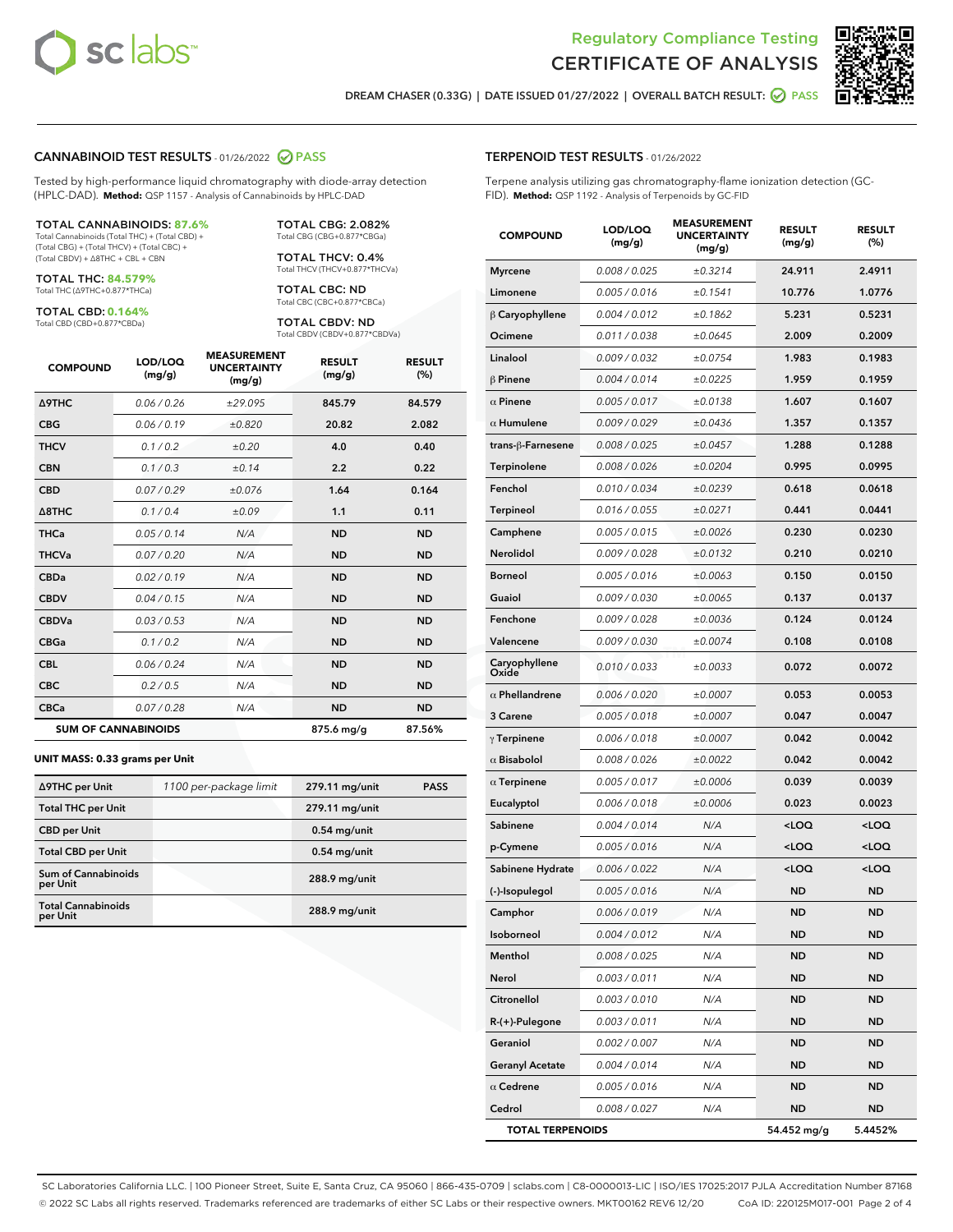



DREAM CHASER (0.33G) | DATE ISSUED 01/27/2022 | OVERALL BATCH RESULT: **○** PASS

#### CANNABINOID TEST RESULTS - 01/26/2022 2 PASS

Tested by high-performance liquid chromatography with diode-array detection (HPLC-DAD). **Method:** QSP 1157 - Analysis of Cannabinoids by HPLC-DAD

#### TOTAL CANNABINOIDS: **87.6%**

Total Cannabinoids (Total THC) + (Total CBD) + (Total CBG) + (Total THCV) + (Total CBC) + (Total CBDV) + ∆8THC + CBL + CBN

TOTAL THC: **84.579%** Total THC (∆9THC+0.877\*THCa)

TOTAL CBD: **0.164%**

Total CBD (CBD+0.877\*CBDa)

TOTAL CBG: 2.082% Total CBG (CBG+0.877\*CBGa)

TOTAL THCV: 0.4% Total THCV (THCV+0.877\*THCVa)

TOTAL CBC: ND Total CBC (CBC+0.877\*CBCa)

TOTAL CBDV: ND Total CBDV (CBDV+0.877\*CBDVa)

| <b>COMPOUND</b>            | LOD/LOQ<br>(mg/g) | <b>MEASUREMENT</b><br><b>UNCERTAINTY</b><br>(mg/g) | <b>RESULT</b><br>(mg/g) | <b>RESULT</b><br>(%) |
|----------------------------|-------------------|----------------------------------------------------|-------------------------|----------------------|
| <b>A9THC</b>               | 0.06/0.26         | ±29.095                                            | 845.79                  | 84.579               |
| <b>CBG</b>                 | 0.06/0.19         | ±0.820                                             | 20.82                   | 2.082                |
| <b>THCV</b>                | 0.1/0.2           | ±0.20                                              | 4.0                     | 0.40                 |
| <b>CBN</b>                 | 0.1/0.3           | ±0.14                                              | 2.2                     | 0.22                 |
| <b>CBD</b>                 | 0.07/0.29         | ±0.076                                             | 1.64                    | 0.164                |
| $\triangle$ 8THC           | 0.1 / 0.4         | ±0.09                                              | 1.1                     | 0.11                 |
| <b>THCa</b>                | 0.05/0.14         | N/A                                                | <b>ND</b>               | <b>ND</b>            |
| <b>THCVa</b>               | 0.07/0.20         | N/A                                                | <b>ND</b>               | <b>ND</b>            |
| <b>CBDa</b>                | 0.02/0.19         | N/A                                                | <b>ND</b>               | <b>ND</b>            |
| <b>CBDV</b>                | 0.04/0.15         | N/A                                                | <b>ND</b>               | <b>ND</b>            |
| <b>CBDVa</b>               | 0.03/0.53         | N/A                                                | <b>ND</b>               | <b>ND</b>            |
| <b>CBGa</b>                | 0.1/0.2           | N/A                                                | <b>ND</b>               | <b>ND</b>            |
| <b>CBL</b>                 | 0.06 / 0.24       | N/A                                                | <b>ND</b>               | <b>ND</b>            |
| <b>CBC</b>                 | 0.2 / 0.5         | N/A                                                | <b>ND</b>               | <b>ND</b>            |
| <b>CBCa</b>                | 0.07/0.28         | N/A                                                | <b>ND</b>               | <b>ND</b>            |
| <b>SUM OF CANNABINOIDS</b> |                   |                                                    | 875.6 mg/g              | 87.56%               |

#### **UNIT MASS: 0.33 grams per Unit**

| ∆9THC per Unit                        | 1100 per-package limit | 279.11 mg/unit  | <b>PASS</b> |
|---------------------------------------|------------------------|-----------------|-------------|
| <b>Total THC per Unit</b>             |                        | 279.11 mg/unit  |             |
| <b>CBD</b> per Unit                   |                        | $0.54$ mg/unit  |             |
| <b>Total CBD per Unit</b>             |                        | $0.54$ mg/unit  |             |
| Sum of Cannabinoids<br>per Unit       |                        | 288.9 mg/unit   |             |
| <b>Total Cannabinoids</b><br>per Unit |                        | $288.9$ mg/unit |             |

# TERPENOID TEST RESULTS - 01/26/2022

Terpene analysis utilizing gas chromatography-flame ionization detection (GC-FID). **Method:** QSP 1192 - Analysis of Terpenoids by GC-FID

| <b>COMPOUND</b>         | LOD/LOQ<br>(mg/g) | <b>MEASUREMENT</b><br><b>UNCERTAINTY</b><br>(mg/g) | <b>RESULT</b><br>(mg/g)                         | <b>RESULT</b><br>(%) |
|-------------------------|-------------------|----------------------------------------------------|-------------------------------------------------|----------------------|
| Myrcene                 | 0.008 / 0.025     | ±0.3214                                            | 24.911                                          | 2.4911               |
| Limonene                | 0.005 / 0.016     | ±0.1541                                            | 10.776                                          | 1.0776               |
| $\beta$ Caryophyllene   | 0.004 / 0.012     | ±0.1862                                            | 5.231                                           | 0.5231               |
| Ocimene                 | 0.011 / 0.038     | ±0.0645                                            | 2.009                                           | 0.2009               |
| Linalool                | 0.009 / 0.032     | ±0.0754                                            | 1.983                                           | 0.1983               |
| $\beta$ Pinene          | 0.004 / 0.014     | ±0.0225                                            | 1.959                                           | 0.1959               |
| $\alpha$ Pinene         | 0.005 / 0.017     | ±0.0138                                            | 1.607                                           | 0.1607               |
| $\alpha$ Humulene       | 0.009/0.029       | ±0.0436                                            | 1.357                                           | 0.1357               |
| trans-ß-Farnesene       | 0.008 / 0.025     | ±0.0457                                            | 1.288                                           | 0.1288               |
| Terpinolene             | 0.008 / 0.026     | ±0.0204                                            | 0.995                                           | 0.0995               |
| Fenchol                 | 0.010 / 0.034     | ±0.0239                                            | 0.618                                           | 0.0618               |
| Terpineol               | 0.016 / 0.055     | ±0.0271                                            | 0.441                                           | 0.0441               |
| Camphene                | 0.005 / 0.015     | ±0.0026                                            | 0.230                                           | 0.0230               |
| Nerolidol               | 0.009/0.028       | ±0.0132                                            | 0.210                                           | 0.0210               |
| Borneol                 | 0.005 / 0.016     | ±0.0063                                            | 0.150                                           | 0.0150               |
| Guaiol                  | 0.009 / 0.030     | ±0.0065                                            | 0.137                                           | 0.0137               |
| Fenchone                | 0.009 / 0.028     | ±0.0036                                            | 0.124                                           | 0.0124               |
| Valencene               | 0.009 / 0.030     | ±0.0074                                            | 0.108                                           | 0.0108               |
| Caryophyllene<br>Oxide  | 0.010 / 0.033     | ±0.0033                                            | 0.072                                           | 0.0072               |
| $\alpha$ Phellandrene   | 0.006 / 0.020     | ±0.0007                                            | 0.053                                           | 0.0053               |
| 3 Carene                | 0.005 / 0.018     | ±0.0007                                            | 0.047                                           | 0.0047               |
| $\gamma$ Terpinene      | 0.006 / 0.018     | ±0.0007                                            | 0.042                                           | 0.0042               |
| $\alpha$ Bisabolol      | 0.008 / 0.026     | ±0.0022                                            | 0.042                                           | 0.0042               |
| $\alpha$ Terpinene      | 0.005 / 0.017     | ±0.0006                                            | 0.039                                           | 0.0039               |
| Eucalyptol              | 0.006 / 0.018     | ±0.0006                                            | 0.023                                           | 0.0023               |
| Sabinene                | 0.004 / 0.014     | N/A                                                | <loq< th=""><th><loq< th=""></loq<></th></loq<> | <loq< th=""></loq<>  |
| p-Cymene                | 0.005 / 0.016     | N/A                                                | <loq< th=""><th><loq< th=""></loq<></th></loq<> | <loq< th=""></loq<>  |
| Sabinene Hydrate        | 0.006 / 0.022     | N/A                                                | <loq< th=""><th><loq< th=""></loq<></th></loq<> | <loq< th=""></loq<>  |
| (-)-Isopulegol          | 0.005 / 0.016     | N/A                                                | ND                                              | <b>ND</b>            |
| Camphor                 | 0.006 / 0.019     | N/A                                                | <b>ND</b>                                       | <b>ND</b>            |
| Isoborneol              | 0.004 / 0.012     | N/A                                                | ND                                              | ND                   |
| Menthol                 | 0.008 / 0.025     | N/A                                                | ND                                              | ND                   |
| Nerol                   | 0.003 / 0.011     | N/A                                                | ND                                              | ND                   |
| Citronellol             | 0.003 / 0.010     | N/A                                                | ND                                              | ND                   |
| R-(+)-Pulegone          | 0.003 / 0.011     | N/A                                                | ND                                              | ND                   |
| Geraniol                | 0.002 / 0.007     | N/A                                                | ND                                              | ND                   |
| <b>Geranyl Acetate</b>  | 0.004 / 0.014     | N/A                                                | ND                                              | ND                   |
| $\alpha$ Cedrene        | 0.005 / 0.016     | N/A                                                | ND                                              | ND                   |
| Cedrol                  | 0.008 / 0.027     | N/A                                                | ND                                              | ND                   |
| <b>TOTAL TERPENOIDS</b> |                   |                                                    | 54.452 mg/g                                     | 5.4452%              |

SC Laboratories California LLC. | 100 Pioneer Street, Suite E, Santa Cruz, CA 95060 | 866-435-0709 | sclabs.com | C8-0000013-LIC | ISO/IES 17025:2017 PJLA Accreditation Number 87168 © 2022 SC Labs all rights reserved. Trademarks referenced are trademarks of either SC Labs or their respective owners. MKT00162 REV6 12/20 CoA ID: 220125M017-001 Page 2 of 4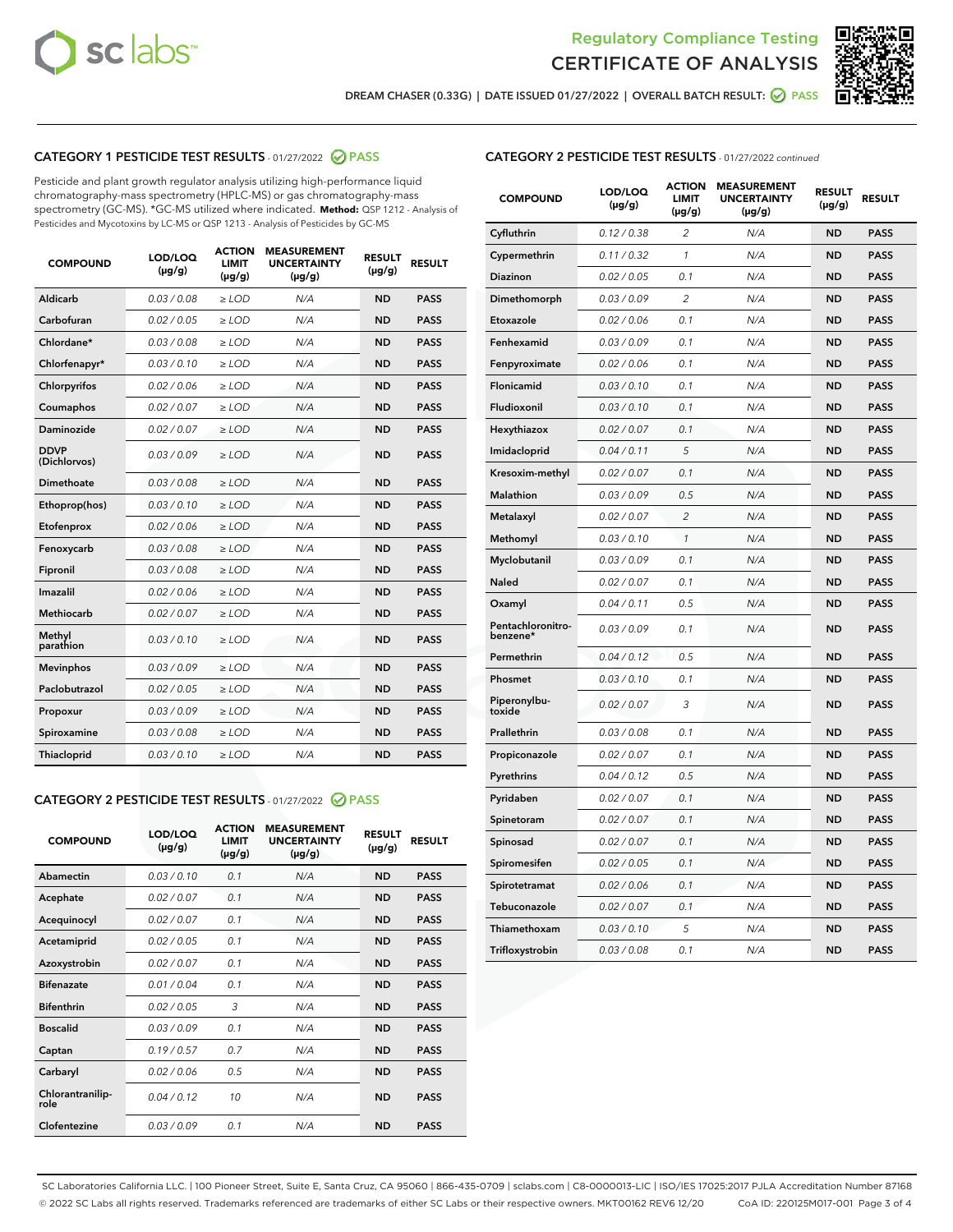



DREAM CHASER (0.33G) | DATE ISSUED 01/27/2022 | OVERALL BATCH RESULT: **⊘** PASS

# CATEGORY 1 PESTICIDE TEST RESULTS - 01/27/2022 2 PASS

Pesticide and plant growth regulator analysis utilizing high-performance liquid chromatography-mass spectrometry (HPLC-MS) or gas chromatography-mass spectrometry (GC-MS). \*GC-MS utilized where indicated. **Method:** QSP 1212 - Analysis of Pesticides and Mycotoxins by LC-MS or QSP 1213 - Analysis of Pesticides by GC-MS

| <b>COMPOUND</b>             | LOD/LOQ<br>$(\mu g/g)$ | <b>ACTION</b><br><b>LIMIT</b><br>$(\mu g/g)$ | <b>MEASUREMENT</b><br><b>UNCERTAINTY</b><br>$(\mu g/g)$ | <b>RESULT</b><br>$(\mu g/g)$ | <b>RESULT</b> |
|-----------------------------|------------------------|----------------------------------------------|---------------------------------------------------------|------------------------------|---------------|
| Aldicarb                    | 0.03 / 0.08            | $\ge$ LOD                                    | N/A                                                     | <b>ND</b>                    | <b>PASS</b>   |
| Carbofuran                  | 0.02/0.05              | $>$ LOD                                      | N/A                                                     | <b>ND</b>                    | <b>PASS</b>   |
| Chlordane*                  | 0.03 / 0.08            | $\ge$ LOD                                    | N/A                                                     | <b>ND</b>                    | <b>PASS</b>   |
| Chlorfenapyr*               | 0.03/0.10              | $\ge$ LOD                                    | N/A                                                     | <b>ND</b>                    | <b>PASS</b>   |
| Chlorpyrifos                | 0.02 / 0.06            | $\ge$ LOD                                    | N/A                                                     | <b>ND</b>                    | <b>PASS</b>   |
| Coumaphos                   | 0.02/0.07              | $>$ LOD                                      | N/A                                                     | <b>ND</b>                    | <b>PASS</b>   |
| <b>Daminozide</b>           | 0.02 / 0.07            | $\ge$ LOD                                    | N/A                                                     | <b>ND</b>                    | <b>PASS</b>   |
| <b>DDVP</b><br>(Dichlorvos) | 0.03/0.09              | $\ge$ LOD                                    | N/A                                                     | <b>ND</b>                    | <b>PASS</b>   |
| <b>Dimethoate</b>           | 0.03 / 0.08            | $\ge$ LOD                                    | N/A                                                     | <b>ND</b>                    | <b>PASS</b>   |
| Ethoprop(hos)               | 0.03/0.10              | $\ge$ LOD                                    | N/A                                                     | <b>ND</b>                    | <b>PASS</b>   |
| Etofenprox                  | 0.02 / 0.06            | $\ge$ LOD                                    | N/A                                                     | <b>ND</b>                    | <b>PASS</b>   |
| Fenoxycarb                  | 0.03 / 0.08            | $\ge$ LOD                                    | N/A                                                     | <b>ND</b>                    | <b>PASS</b>   |
| Fipronil                    | 0.03/0.08              | $>$ LOD                                      | N/A                                                     | <b>ND</b>                    | <b>PASS</b>   |
| Imazalil                    | 0.02 / 0.06            | $\ge$ LOD                                    | N/A                                                     | <b>ND</b>                    | <b>PASS</b>   |
| Methiocarb                  | 0.02 / 0.07            | $\ge$ LOD                                    | N/A                                                     | <b>ND</b>                    | <b>PASS</b>   |
| Methyl<br>parathion         | 0.03/0.10              | $>$ LOD                                      | N/A                                                     | <b>ND</b>                    | <b>PASS</b>   |
| <b>Mevinphos</b>            | 0.03/0.09              | $>$ LOD                                      | N/A                                                     | <b>ND</b>                    | <b>PASS</b>   |
| Paclobutrazol               | 0.02 / 0.05            | $\ge$ LOD                                    | N/A                                                     | <b>ND</b>                    | <b>PASS</b>   |
| Propoxur                    | 0.03/0.09              | $>$ LOD                                      | N/A                                                     | <b>ND</b>                    | <b>PASS</b>   |
| Spiroxamine                 | 0.03 / 0.08            | $\ge$ LOD                                    | N/A                                                     | <b>ND</b>                    | <b>PASS</b>   |
| Thiacloprid                 | 0.03/0.10              | $\ge$ LOD                                    | N/A                                                     | <b>ND</b>                    | <b>PASS</b>   |

#### CATEGORY 2 PESTICIDE TEST RESULTS - 01/27/2022 2 PASS

| <b>COMPOUND</b>          | LOD/LOQ<br>$(\mu g/g)$ | <b>ACTION</b><br><b>LIMIT</b><br>$(\mu g/g)$ | <b>MEASUREMENT</b><br><b>UNCERTAINTY</b><br>$(\mu g/g)$ | <b>RESULT</b><br>$(\mu g/g)$ | <b>RESULT</b> |
|--------------------------|------------------------|----------------------------------------------|---------------------------------------------------------|------------------------------|---------------|
| Abamectin                | 0.03/0.10              | 0.1                                          | N/A                                                     | <b>ND</b>                    | <b>PASS</b>   |
| Acephate                 | 0.02/0.07              | 0.1                                          | N/A                                                     | <b>ND</b>                    | <b>PASS</b>   |
| Acequinocyl              | 0.02/0.07              | 0.1                                          | N/A                                                     | <b>ND</b>                    | <b>PASS</b>   |
| Acetamiprid              | 0.02/0.05              | 0.1                                          | N/A                                                     | <b>ND</b>                    | <b>PASS</b>   |
| Azoxystrobin             | 0.02/0.07              | 0.1                                          | N/A                                                     | <b>ND</b>                    | <b>PASS</b>   |
| <b>Bifenazate</b>        | 0.01/0.04              | 0.1                                          | N/A                                                     | <b>ND</b>                    | <b>PASS</b>   |
| <b>Bifenthrin</b>        | 0.02 / 0.05            | 3                                            | N/A                                                     | <b>ND</b>                    | <b>PASS</b>   |
| <b>Boscalid</b>          | 0.03/0.09              | 0.1                                          | N/A                                                     | <b>ND</b>                    | <b>PASS</b>   |
| Captan                   | 0.19/0.57              | 0.7                                          | N/A                                                     | <b>ND</b>                    | <b>PASS</b>   |
| Carbaryl                 | 0.02/0.06              | 0.5                                          | N/A                                                     | <b>ND</b>                    | <b>PASS</b>   |
| Chlorantranilip-<br>role | 0.04/0.12              | 10                                           | N/A                                                     | <b>ND</b>                    | <b>PASS</b>   |
| Clofentezine             | 0.03/0.09              | 0.1                                          | N/A                                                     | <b>ND</b>                    | <b>PASS</b>   |

## CATEGORY 2 PESTICIDE TEST RESULTS - 01/27/2022 continued

| <b>COMPOUND</b>               | LOD/LOQ<br>(µg/g) | <b>ACTION</b><br><b>LIMIT</b><br>$(\mu g/g)$ | <b>MEASUREMENT</b><br><b>UNCERTAINTY</b><br>$(\mu g/g)$ | <b>RESULT</b><br>(µg/g) | <b>RESULT</b> |
|-------------------------------|-------------------|----------------------------------------------|---------------------------------------------------------|-------------------------|---------------|
| Cyfluthrin                    | 0.12 / 0.38       | $\overline{c}$                               | N/A                                                     | <b>ND</b>               | <b>PASS</b>   |
| Cypermethrin                  | 0.11 / 0.32       | 1                                            | N/A                                                     | ND                      | <b>PASS</b>   |
| Diazinon                      | 0.02 / 0.05       | 0.1                                          | N/A                                                     | ND                      | <b>PASS</b>   |
| Dimethomorph                  | 0.03 / 0.09       | 2                                            | N/A                                                     | ND                      | <b>PASS</b>   |
| Etoxazole                     | 0.02 / 0.06       | 0.1                                          | N/A                                                     | <b>ND</b>               | <b>PASS</b>   |
| Fenhexamid                    | 0.03 / 0.09       | 0.1                                          | N/A                                                     | <b>ND</b>               | <b>PASS</b>   |
| Fenpyroximate                 | 0.02 / 0.06       | 0.1                                          | N/A                                                     | ND                      | <b>PASS</b>   |
| Flonicamid                    | 0.03 / 0.10       | 0.1                                          | N/A                                                     | ND                      | <b>PASS</b>   |
| Fludioxonil                   | 0.03 / 0.10       | 0.1                                          | N/A                                                     | <b>ND</b>               | <b>PASS</b>   |
| Hexythiazox                   | 0.02 / 0.07       | 0.1                                          | N/A                                                     | ND                      | <b>PASS</b>   |
| Imidacloprid                  | 0.04 / 0.11       | 5                                            | N/A                                                     | ND                      | <b>PASS</b>   |
| Kresoxim-methyl               | 0.02 / 0.07       | 0.1                                          | N/A                                                     | <b>ND</b>               | <b>PASS</b>   |
| <b>Malathion</b>              | 0.03 / 0.09       | 0.5                                          | N/A                                                     | ND                      | <b>PASS</b>   |
| Metalaxyl                     | 0.02 / 0.07       | $\overline{c}$                               | N/A                                                     | ND                      | <b>PASS</b>   |
| Methomyl                      | 0.03 / 0.10       | 1                                            | N/A                                                     | <b>ND</b>               | <b>PASS</b>   |
| Myclobutanil                  | 0.03 / 0.09       | 0.1                                          | N/A                                                     | ND                      | <b>PASS</b>   |
| Naled                         | 0.02 / 0.07       | 0.1                                          | N/A                                                     | ND                      | <b>PASS</b>   |
| Oxamyl                        | 0.04 / 0.11       | 0.5                                          | N/A                                                     | ND                      | <b>PASS</b>   |
| Pentachloronitro-<br>benzene* | 0.03 / 0.09       | 0.1                                          | N/A                                                     | ND                      | <b>PASS</b>   |
| Permethrin                    | 0.04 / 0.12       | 0.5                                          | N/A                                                     | <b>ND</b>               | <b>PASS</b>   |
| Phosmet                       | 0.03 / 0.10       | 0.1                                          | N/A                                                     | <b>ND</b>               | <b>PASS</b>   |
| Piperonylbu-<br>toxide        | 0.02 / 0.07       | 3                                            | N/A                                                     | ND                      | <b>PASS</b>   |
| Prallethrin                   | 0.03 / 0.08       | 0.1                                          | N/A                                                     | <b>ND</b>               | <b>PASS</b>   |
| Propiconazole                 | 0.02 / 0.07       | 0.1                                          | N/A                                                     | ND                      | <b>PASS</b>   |
| Pyrethrins                    | 0.04 / 0.12       | 0.5                                          | N/A                                                     | ND                      | <b>PASS</b>   |
| Pyridaben                     | 0.02 / 0.07       | 0.1                                          | N/A                                                     | ND                      | <b>PASS</b>   |
| Spinetoram                    | 0.02 / 0.07       | 0.1                                          | N/A                                                     | ND                      | <b>PASS</b>   |
| Spinosad                      | 0.02 / 0.07       | 0.1                                          | N/A                                                     | ND                      | <b>PASS</b>   |
| Spiromesifen                  | 0.02 / 0.05       | 0.1                                          | N/A                                                     | <b>ND</b>               | <b>PASS</b>   |
| Spirotetramat                 | 0.02 / 0.06       | 0.1                                          | N/A                                                     | ND                      | <b>PASS</b>   |
| Tebuconazole                  | 0.02 / 0.07       | 0.1                                          | N/A                                                     | ND                      | <b>PASS</b>   |
| Thiamethoxam                  | 0.03 / 0.10       | 5                                            | N/A                                                     | <b>ND</b>               | <b>PASS</b>   |
| Trifloxystrobin               | 0.03 / 0.08       | 0.1                                          | N/A                                                     | <b>ND</b>               | <b>PASS</b>   |

SC Laboratories California LLC. | 100 Pioneer Street, Suite E, Santa Cruz, CA 95060 | 866-435-0709 | sclabs.com | C8-0000013-LIC | ISO/IES 17025:2017 PJLA Accreditation Number 87168 © 2022 SC Labs all rights reserved. Trademarks referenced are trademarks of either SC Labs or their respective owners. MKT00162 REV6 12/20 CoA ID: 220125M017-001 Page 3 of 4